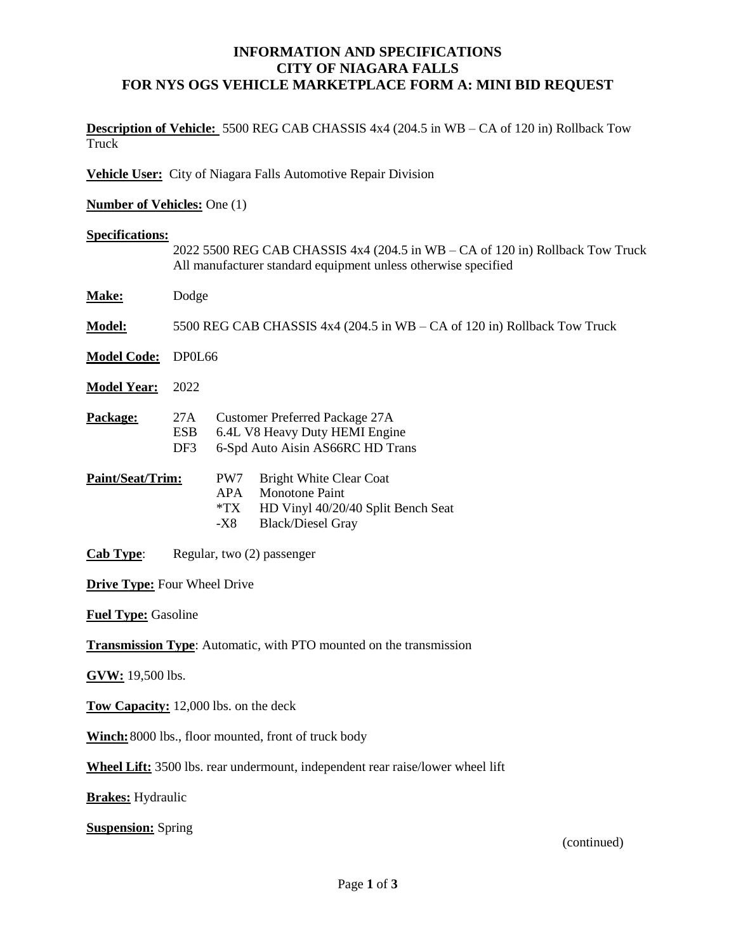## **INFORMATION AND SPECIFICATIONS CITY OF NIAGARA FALLS FOR NYS OGS VEHICLE MARKETPLACE FORM A: MINI BID REQUEST**

**Description of Vehicle:** 5500 REG CAB CHASSIS 4x4 (204.5 in WB – CA of 120 in) Rollback Tow Truck

**Vehicle User:** City of Niagara Falls Automotive Repair Division

**Number of Vehicles:** One (1)

### **Specifications:**

|                                                                                       | 2022 5500 REG CAB CHASSIS $4x4$ (204.5 in WB – CA of 120 in) Rollback Tow Truck<br>All manufacturer standard equipment unless otherwise specified |                                                                                                                                                                |  |
|---------------------------------------------------------------------------------------|---------------------------------------------------------------------------------------------------------------------------------------------------|----------------------------------------------------------------------------------------------------------------------------------------------------------------|--|
| Make:                                                                                 | Dodge                                                                                                                                             |                                                                                                                                                                |  |
| Model:                                                                                | 5500 REG CAB CHASSIS $4x4$ (204.5 in WB – CA of 120 in) Rollback Tow Truck                                                                        |                                                                                                                                                                |  |
| <b>Model Code:</b>                                                                    | DP0L66                                                                                                                                            |                                                                                                                                                                |  |
| <b>Model Year:</b>                                                                    | 2022                                                                                                                                              |                                                                                                                                                                |  |
| Package:                                                                              | 27A<br><b>ESB</b><br>DF3                                                                                                                          | <b>Customer Preferred Package 27A</b><br>6.4L V8 Heavy Duty HEMI Engine<br>6-Spd Auto Aisin AS66RC HD Trans                                                    |  |
| Paint/Seat/Trim:                                                                      |                                                                                                                                                   | PW7<br><b>Bright White Clear Coat</b><br><b>APA</b><br><b>Monotone Paint</b><br>$*TX$<br>HD Vinyl 40/20/40 Split Bench Seat<br>-X8<br><b>Black/Diesel Gray</b> |  |
| <b>Cab Type:</b>                                                                      | Regular, two (2) passenger                                                                                                                        |                                                                                                                                                                |  |
| <b>Drive Type: Four Wheel Drive</b>                                                   |                                                                                                                                                   |                                                                                                                                                                |  |
| <b>Fuel Type: Gasoline</b>                                                            |                                                                                                                                                   |                                                                                                                                                                |  |
|                                                                                       |                                                                                                                                                   | <b>Transmission Type:</b> Automatic, with PTO mounted on the transmission                                                                                      |  |
| GVW: 19,500 lbs.                                                                      |                                                                                                                                                   |                                                                                                                                                                |  |
|                                                                                       |                                                                                                                                                   | Tow Capacity: 12,000 lbs. on the deck                                                                                                                          |  |
|                                                                                       |                                                                                                                                                   | Winch: 8000 lbs., floor mounted, front of truck body                                                                                                           |  |
| <b>Wheel Lift:</b> 3500 lbs. rear undermount, independent rear raise/lower wheel lift |                                                                                                                                                   |                                                                                                                                                                |  |

**Brakes:** Hydraulic

**Suspension:** Spring

(continued)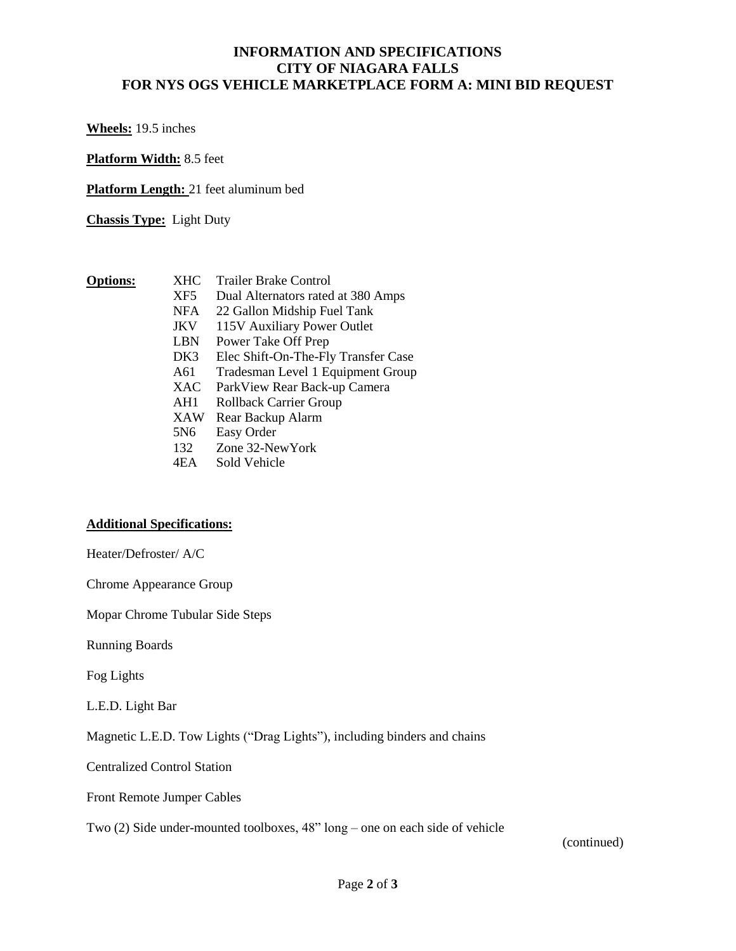# **INFORMATION AND SPECIFICATIONS CITY OF NIAGARA FALLS FOR NYS OGS VEHICLE MARKETPLACE FORM A: MINI BID REQUEST**

**Wheels:** 19.5 inches

**Platform Width:** 8.5 feet

**Platform Length:** 21 feet aluminum bed

**Chassis Type:** Light Duty

- **Options:** XHC Trailer Brake Control
	- XF5 Dual Alternators rated at 380 Amps
	- NFA 22 Gallon Midship Fuel Tank
	- JKV 115V Auxiliary Power Outlet
	- LBN Power Take Off Prep
	- DK3 Elec Shift-On-The-Fly Transfer Case
	- A61 Tradesman Level 1 Equipment Group<br>XAC ParkView Rear Back-up Camera
	- ParkView Rear Back-up Camera
	- AH1 Rollback Carrier Group
	- XAW Rear Backup Alarm
	- 5N6 Easy Order
	- 132 Zone 32-NewYork
	- 4EA Sold Vehicle

#### **Additional Specifications:**

Heater/Defroster/ A/C

Chrome Appearance Group

Mopar Chrome Tubular Side Steps

Running Boards

Fog Lights

L.E.D. Light Bar

Magnetic L.E.D. Tow Lights ("Drag Lights"), including binders and chains

Centralized Control Station

Front Remote Jumper Cables

Two (2) Side under-mounted toolboxes, 48" long – one on each side of vehicle

(continued)